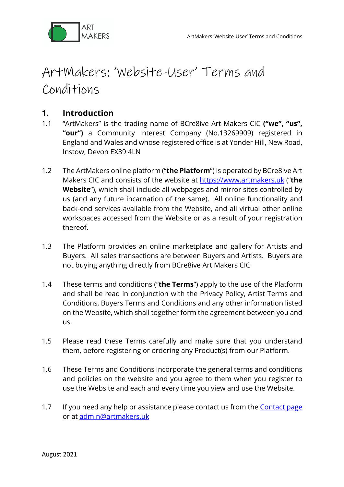

# ArtMakers: 'Website-User' Terms and Conditions

## **1. Introduction**

- 1.1 "ArtMakers" is the trading name of BCre8ive Art Makers CIC **("we", "us", "our")** a Community Interest Company (No.13269909) registered in England and Wales and whose registered office is at Yonder Hill, New Road, Instow, Devon EX39 4LN
- 1.2 The ArtMakers online platform ("**the Platform**") is operated by BCre8ive Art Makers CIC and consists of the website at https://www.artmakers.uk ("**the Website**"), which shall include all webpages and mirror sites controlled by us (and any future incarnation of the same). All online functionality and back-end services available from the Website, and all virtual other online workspaces accessed from the Website or as a result of your registration thereof.
- 1.3 The Platform provides an online marketplace and gallery for Artists and Buyers. All sales transactions are between Buyers and Artists. Buyers are not buying anything directly from BCre8ive Art Makers CIC
- 1.4 These terms and conditions ("**the Terms**") apply to the use of the Platform and shall be read in conjunction with the Privacy Policy, Artist Terms and Conditions, Buyers Terms and Conditions and any other information listed on the Website, which shall together form the agreement between you and us.
- 1.5 Please read these Terms carefully and make sure that you understand them, before registering or ordering any Product(s) from our Platform.
- 1.6 These Terms and Conditions incorporate the general terms and conditions and policies on the website and you agree to them when you register to use the Website and each and every time you view and use the Website.
- 1.7 If you need any help or assistance please contact us from the **Contact page** or at admin@artmakers.uk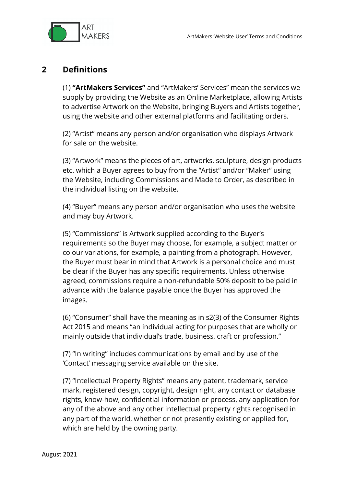

#### **2 Definitions**

(1) **"ArtMakers Services"** and "ArtMakers' Services" mean the services we supply by providing the Website as an Online Marketplace, allowing Artists to advertise Artwork on the Website, bringing Buyers and Artists together, using the website and other external platforms and facilitating orders.

(2) "Artist" means any person and/or organisation who displays Artwork for sale on the website.

(3) "Artwork" means the pieces of art, artworks, sculpture, design products etc. which a Buyer agrees to buy from the "Artist" and/or "Maker" using the Website, including Commissions and Made to Order, as described in the individual listing on the website.

(4) "Buyer" means any person and/or organisation who uses the website and may buy Artwork.

(5) "Commissions" is Artwork supplied according to the Buyer's requirements so the Buyer may choose, for example, a subject matter or colour variations, for example, a painting from a photograph. However, the Buyer must bear in mind that Artwork is a personal choice and must be clear if the Buyer has any specific requirements. Unless otherwise agreed, commissions require a non-refundable 50% deposit to be paid in advance with the balance payable once the Buyer has approved the images.

(6) "Consumer" shall have the meaning as in s2(3) of the Consumer Rights Act 2015 and means "an individual acting for purposes that are wholly or mainly outside that individual's trade, business, craft or profession."

(7) "In writing" includes communications by email and by use of the 'Contact' messaging service available on the site.

(7) "Intellectual Property Rights" means any patent, trademark, service mark, registered design, copyright, design right, any contact or database rights, know-how, confidential information or process, any application for any of the above and any other intellectual property rights recognised in any part of the world, whether or not presently existing or applied for, which are held by the owning party.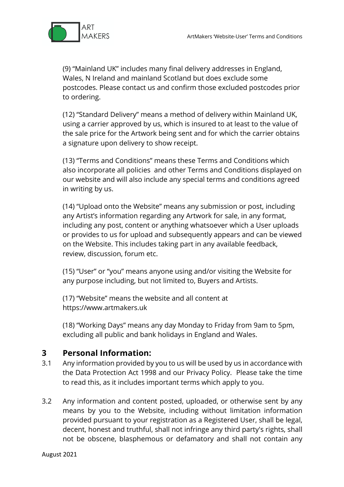

(9) "Mainland UK" includes many final delivery addresses in England, Wales, N Ireland and mainland Scotland but does exclude some postcodes. Please contact us and confirm those excluded postcodes prior to ordering.

(12) "Standard Delivery" means a method of delivery within Mainland UK, using a carrier approved by us, which is insured to at least to the value of the sale price for the Artwork being sent and for which the carrier obtains a signature upon delivery to show receipt.

(13) "Terms and Conditions" means these Terms and Conditions which also incorporate all policies and other Terms and Conditions displayed on our website and will also include any special terms and conditions agreed in writing by us.

(14) "Upload onto the Website" means any submission or post, including any Artist's information regarding any Artwork for sale, in any format, including any post, content or anything whatsoever which a User uploads or provides to us for upload and subsequently appears and can be viewed on the Website. This includes taking part in any available feedback, review, discussion, forum etc.

(15) "User" or "you" means anyone using and/or visiting the Website for any purpose including, but not limited to, Buyers and Artists.

(17) "Website" means the website and all content at https://www.artmakers.uk

(18) "Working Days" means any day Monday to Friday from 9am to 5pm, excluding all public and bank holidays in England and Wales.

## **3 Personal Information:**

- 3.1 Any information provided by you to us will be used by us in accordance with the Data Protection Act 1998 and our Privacy Policy. Please take the time to read this, as it includes important terms which apply to you.
- 3.2 Any information and content posted, uploaded, or otherwise sent by any means by you to the Website, including without limitation information provided pursuant to your registration as a Registered User, shall be legal, decent, honest and truthful, shall not infringe any third party's rights, shall not be obscene, blasphemous or defamatory and shall not contain any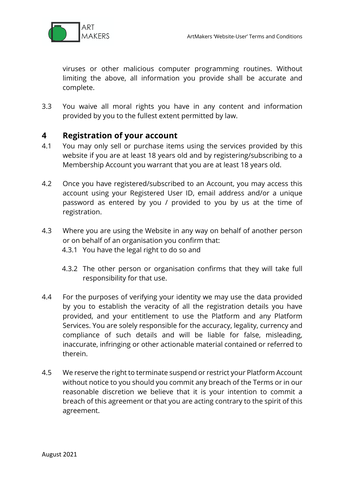

viruses or other malicious computer programming routines. Without limiting the above, all information you provide shall be accurate and complete.

3.3 You waive all moral rights you have in any content and information provided by you to the fullest extent permitted by law.

## **4 Registration of your account**

- 4.1 You may only sell or purchase items using the services provided by this website if you are at least 18 years old and by registering/subscribing to a Membership Account you warrant that you are at least 18 years old.
- 4.2 Once you have registered/subscribed to an Account, you may access this account using your Registered User ID, email address and/or a unique password as entered by you / provided to you by us at the time of registration.
- 4.3 Where you are using the Website in any way on behalf of another person or on behalf of an organisation you confirm that: 4.3.1 You have the legal right to do so and
	- 4.3.2 The other person or organisation confirms that they will take full responsibility for that use.
- 4.4 For the purposes of verifying your identity we may use the data provided by you to establish the veracity of all the registration details you have provided, and your entitlement to use the Platform and any Platform Services. You are solely responsible for the accuracy, legality, currency and compliance of such details and will be liable for false, misleading, inaccurate, infringing or other actionable material contained or referred to therein.
- 4.5 We reserve the right to terminate suspend or restrict your Platform Account without notice to you should you commit any breach of the Terms or in our reasonable discretion we believe that it is your intention to commit a breach of this agreement or that you are acting contrary to the spirit of this agreement.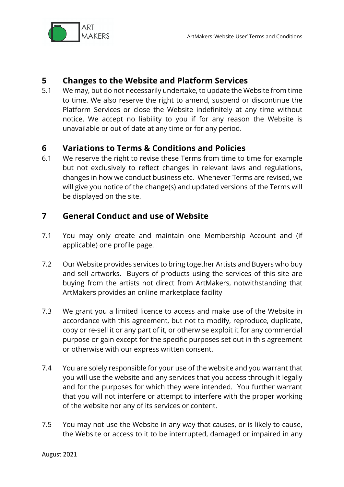

## **5 Changes to the Website and Platform Services**

5.1 We may, but do not necessarily undertake, to update the Website from time to time. We also reserve the right to amend, suspend or discontinue the Platform Services or close the Website indefinitely at any time without notice. We accept no liability to you if for any reason the Website is unavailable or out of date at any time or for any period.

#### **6 Variations to Terms & Conditions and Policies**

6.1 We reserve the right to revise these Terms from time to time for example but not exclusively to reflect changes in relevant laws and regulations, changes in how we conduct business etc. Whenever Terms are revised, we will give you notice of the change(s) and updated versions of the Terms will be displayed on the site.

## **7 General Conduct and use of Website**

- 7.1 You may only create and maintain one Membership Account and (if applicable) one profile page.
- 7.2 Our Website provides services to bring together Artists and Buyers who buy and sell artworks. Buyers of products using the services of this site are buying from the artists not direct from ArtMakers, notwithstanding that ArtMakers provides an online marketplace facility
- 7.3 We grant you a limited licence to access and make use of the Website in accordance with this agreement, but not to modify, reproduce, duplicate, copy or re-sell it or any part of it, or otherwise exploit it for any commercial purpose or gain except for the specific purposes set out in this agreement or otherwise with our express written consent.
- 7.4 You are solely responsible for your use of the website and you warrant that you will use the website and any services that you access through it legally and for the purposes for which they were intended. You further warrant that you will not interfere or attempt to interfere with the proper working of the website nor any of its services or content.
- 7.5 You may not use the Website in any way that causes, or is likely to cause, the Website or access to it to be interrupted, damaged or impaired in any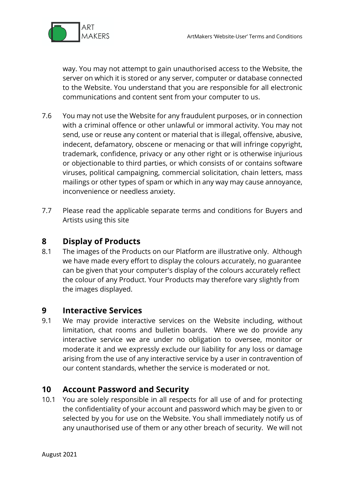

way. You may not attempt to gain unauthorised access to the Website, the server on which it is stored or any server, computer or database connected to the Website. You understand that you are responsible for all electronic communications and content sent from your computer to us.

- 7.6 You may not use the Website for any fraudulent purposes, or in connection with a criminal offence or other unlawful or immoral activity. You may not send, use or reuse any content or material that is illegal, offensive, abusive, indecent, defamatory, obscene or menacing or that will infringe copyright, trademark, confidence, privacy or any other right or is otherwise injurious or objectionable to third parties, or which consists of or contains software viruses, political campaigning, commercial solicitation, chain letters, mass mailings or other types of spam or which in any way may cause annoyance, inconvenience or needless anxiety.
- 7.7 Please read the applicable separate terms and conditions for Buyers and Artists using this site

## **8 Display of Products**

8.1 The images of the Products on our Platform are illustrative only. Although we have made every effort to display the colours accurately, no guarantee can be given that your computer's display of the colours accurately reflect the colour of any Product. Your Products may therefore vary slightly from the images displayed.

#### **9 Interactive Services**

9.1 We may provide interactive services on the Website including, without limitation, chat rooms and bulletin boards. Where we do provide any interactive service we are under no obligation to oversee, monitor or moderate it and we expressly exclude our liability for any loss or damage arising from the use of any interactive service by a user in contravention of our content standards, whether the service is moderated or not.

## **10 Account Password and Security**

10.1 You are solely responsible in all respects for all use of and for protecting the confidentiality of your account and password which may be given to or selected by you for use on the Website. You shall immediately notify us of any unauthorised use of them or any other breach of security. We will not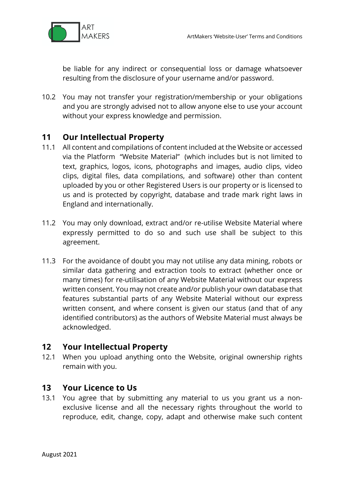

be liable for any indirect or consequential loss or damage whatsoever resulting from the disclosure of your username and/or password.

10.2 You may not transfer your registration/membership or your obligations and you are strongly advised not to allow anyone else to use your account without your express knowledge and permission.

## **11 Our Intellectual Property**

- 11.1 All content and compilations of content included at the Website or accessed via the Platform "Website Material" (which includes but is not limited to text, graphics, logos, icons, photographs and images, audio clips, video clips, digital files, data compilations, and software) other than content uploaded by you or other Registered Users is our property or is licensed to us and is protected by copyright, database and trade mark right laws in England and internationally.
- 11.2 You may only download, extract and/or re-utilise Website Material where expressly permitted to do so and such use shall be subject to this agreement.
- 11.3 For the avoidance of doubt you may not utilise any data mining, robots or similar data gathering and extraction tools to extract (whether once or many times) for re-utilisation of any Website Material without our express written consent. You may not create and/or publish your own database that features substantial parts of any Website Material without our express written consent, and where consent is given our status (and that of any identified contributors) as the authors of Website Material must always be acknowledged.

#### **12 Your Intellectual Property**

12.1 When you upload anything onto the Website, original ownership rights remain with you.

#### **13 Your Licence to Us**

13.1 You agree that by submitting any material to us you grant us a nonexclusive license and all the necessary rights throughout the world to reproduce, edit, change, copy, adapt and otherwise make such content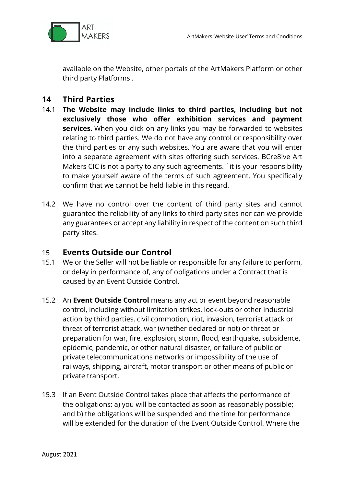

available on the Website, other portals of the ArtMakers Platform or other third party Platforms .

## **14 Third Parties**

- 14.1 **The Website may include links to third parties, including but not exclusively those who offer exhibition services and payment services.** When you click on any links you may be forwarded to websites relating to third parties. We do not have any control or responsibility over the third parties or any such websites. You are aware that you will enter into a separate agreement with sites offering such services. BCre8ive Art Makers CIC is not a party to any such agreements. ` it is your responsibility to make yourself aware of the terms of such agreement. You specifically confirm that we cannot be held liable in this regard.
- 14.2 We have no control over the content of third party sites and cannot guarantee the reliability of any links to third party sites nor can we provide any guarantees or accept any liability in respect of the content on such third party sites.

#### 15 **Events Outside our Control**

- 15.1 We or the Seller will not be liable or responsible for any failure to perform, or delay in performance of, any of obligations under a Contract that is caused by an Event Outside Control.
- 15.2 An **Event Outside Control** means any act or event beyond reasonable control, including without limitation strikes, lock-outs or other industrial action by third parties, civil commotion, riot, invasion, terrorist attack or threat of terrorist attack, war (whether declared or not) or threat or preparation for war, fire, explosion, storm, flood, earthquake, subsidence, epidemic, pandemic, or other natural disaster, or failure of public or private telecommunications networks or impossibility of the use of railways, shipping, aircraft, motor transport or other means of public or private transport.
- 15.3 If an Event Outside Control takes place that affects the performance of the obligations: a) you will be contacted as soon as reasonably possible; and b) the obligations will be suspended and the time for performance will be extended for the duration of the Event Outside Control. Where the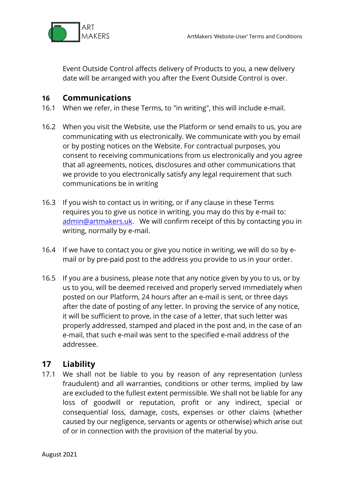

Event Outside Control affects delivery of Products to you, a new delivery date will be arranged with you after the Event Outside Control is over.

## **16 Communications**

- 16.1 When we refer, in these Terms, to "in writing", this will include e-mail.
- 16.2 When you visit the Website, use the Platform or send emails to us, you are communicating with us electronically. We communicate with you by email or by posting notices on the Website. For contractual purposes, you consent to receiving communications from us electronically and you agree that all agreements, notices, disclosures and other communications that we provide to you electronically satisfy any legal requirement that such communications be in writing
- 16.3 If you wish to contact us in writing, or if any clause in these Terms requires you to give us notice in writing, you may do this by e-mail to: admin@artmakers.uk. We will confirm receipt of this by contacting you in writing, normally by e-mail.
- 16.4 If we have to contact you or give you notice in writing, we will do so by email or by pre-paid post to the address you provide to us in your order.
- 16.5 If you are a business, please note that any notice given by you to us, or by us to you, will be deemed received and properly served immediately when posted on our Platform, 24 hours after an e-mail is sent, or three days after the date of posting of any letter. In proving the service of any notice, it will be sufficient to prove, in the case of a letter, that such letter was properly addressed, stamped and placed in the post and, in the case of an e-mail, that such e-mail was sent to the specified e-mail address of the addressee.

#### **17 Liability**

17.1 We shall not be liable to you by reason of any representation (unless fraudulent) and all warranties, conditions or other terms, implied by law are excluded to the fullest extent permissible. We shall not be liable for any loss of goodwill or reputation, profit or any indirect, special or consequential loss, damage, costs, expenses or other claims (whether caused by our negligence, servants or agents or otherwise) which arise out of or in connection with the provision of the material by you.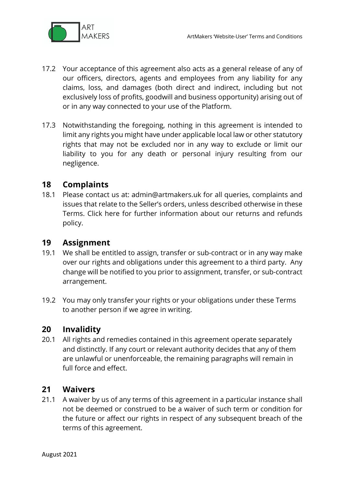

- 17.2 Your acceptance of this agreement also acts as a general release of any of our officers, directors, agents and employees from any liability for any claims, loss, and damages (both direct and indirect, including but not exclusively loss of profits, goodwill and business opportunity) arising out of or in any way connected to your use of the Platform.
- 17.3 Notwithstanding the foregoing, nothing in this agreement is intended to limit any rights you might have under applicable local law or other statutory rights that may not be excluded nor in any way to exclude or limit our liability to you for any death or personal injury resulting from our negligence.

## **18 Complaints**

18.1 Please contact us at: admin@artmakers.uk for all queries, complaints and issues that relate to the Seller's orders, unless described otherwise in these Terms. Click here for further information about our returns and refunds policy.

## **19 Assignment**

- 19.1 We shall be entitled to assign, transfer or sub-contract or in any way make over our rights and obligations under this agreement to a third party. Any change will be notified to you prior to assignment, transfer, or sub-contract arrangement.
- 19.2 You may only transfer your rights or your obligations under these Terms to another person if we agree in writing.

#### **20 Invalidity**

20.1 All rights and remedies contained in this agreement operate separately and distinctly. If any court or relevant authority decides that any of them are unlawful or unenforceable, the remaining paragraphs will remain in full force and effect.

#### **21 Waivers**

21.1 A waiver by us of any terms of this agreement in a particular instance shall not be deemed or construed to be a waiver of such term or condition for the future or affect our rights in respect of any subsequent breach of the terms of this agreement.